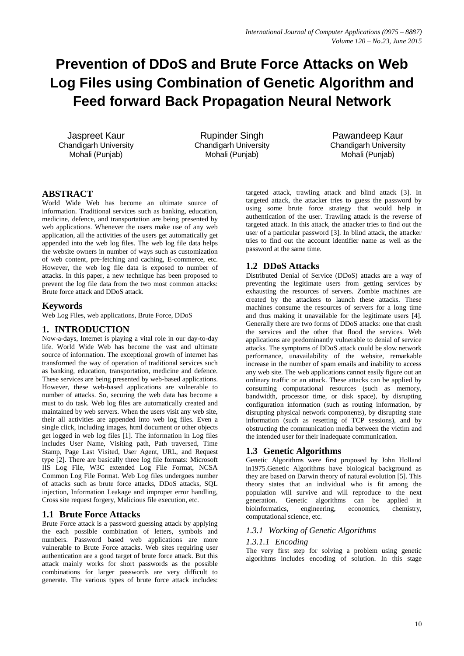# **Prevention of DDoS and Brute Force Attacks on Web Log Files using Combination of Genetic Algorithm and Feed forward Back Propagation Neural Network**

Jaspreet Kaur Chandigarh University Mohali (Punjab)

Rupinder Singh Chandigarh University Mohali (Punjab)

Pawandeep Kaur Chandigarh University Mohali (Punjab)

# **ABSTRACT**

World Wide Web has become an ultimate source of information. Traditional services such as banking, education, medicine, defence, and transportation are being presented by web applications. Whenever the users make use of any web application, all the activities of the users get automatically get appended into the web log files. The web log file data helps the website owners in number of ways such as customization of web content, pre-fetching and caching, E-commerce, etc. However, the web log file data is exposed to number of attacks. In this paper, a new technique has been proposed to prevent the log file data from the two most common attacks: Brute force attack and DDoS attack.

## **Keywords**

Web Log Files, web applications, Brute Force, DDoS

## **1. INTRODUCTION**

Now-a-days, Internet is playing a vital role in our day-to-day life. World Wide Web has become the vast and ultimate source of information. The exceptional growth of internet has transformed the way of operation of traditional services such as banking, education, transportation, medicine and defence. These services are being presented by web-based applications. However, these web-based applications are vulnerable to number of attacks. So, securing the web data has become a must to do task. Web log files are automatically created and maintained by web servers. When the users visit any web site, their all activities are appended into web log files. Even a single click, including images, html document or other objects get logged in web log files [1]. The information in Log files includes User Name, Visiting path, Path traversed, Time Stamp, Page Last Visited, User Agent, URL, and Request type [2]. There are basically three log file formats: Microsoft IIS Log File, W3C extended Log File Format, NCSA Common Log File Format. Web Log files undergoes number of attacks such as brute force attacks, DDoS attacks, SQL injection, Information Leakage and improper error handling, Cross site request forgery, Malicious file execution, etc.

# **1.1 Brute Force Attacks**

Brute Force attack is a password guessing attack by applying the each possible combination of letters, symbols and numbers. Password based web applications are more vulnerable to Brute Force attacks. Web sites requiring user authentication are a good target of brute force attack. But this attack mainly works for short passwords as the possible combinations for larger passwords are very difficult to generate. The various types of brute force attack includes: targeted attack, trawling attack and blind attack [3]. In targeted attack, the attacker tries to guess the password by using some brute force strategy that would help in authentication of the user. Trawling attack is the reverse of targeted attack. In this attack, the attacker tries to find out the user of a particular password [3]. In blind attack, the attacker tries to find out the account identifier name as well as the password at the same time.

# **1.2 DDoS Attacks**

Distributed Denial of Service (DDoS) attacks are a way of preventing the legitimate users from getting services by exhausting the resources of servers. Zombie machines are created by the attackers to launch these attacks. These machines consume the resources of servers for a long time and thus making it unavailable for the legitimate users [4]. Generally there are two forms of DDoS attacks: one that crash the services and the other that flood the services. Web applications are predominantly vulnerable to denial of service attacks. The symptoms of DDoS attack could be slow network performance, unavailability of the website, remarkable increase in the number of spam emails and inability to access any web site. The web applications cannot easily figure out an ordinary traffic or an attack. These attacks can be applied by consuming computational resources (such as memory, bandwidth, processor time, or disk space), by disrupting configuration information (such as routing information, by disrupting physical network components), by disrupting state information (such as resetting of TCP sessions), and by obstructing the communication media between the victim and the intended user for their inadequate communication.

# **1.3 Genetic Algorithms**

Genetic Algorithms were first proposed by John Holland in1975.Genetic Algorithms have biological background as they are based on Darwin theory of natural evolution [5]. This theory states that an individual who is fit among the population will survive and will reproduce to the next generation. Genetic algorithms can be applied in bioinformatics, engineering, economics, chemistry, computational science, etc.

## *1.3.1 Working of Genetic Algorithms*

#### *1.3.1.1 Encoding*

The very first step for solving a problem using genetic algorithms includes encoding of solution. In this stage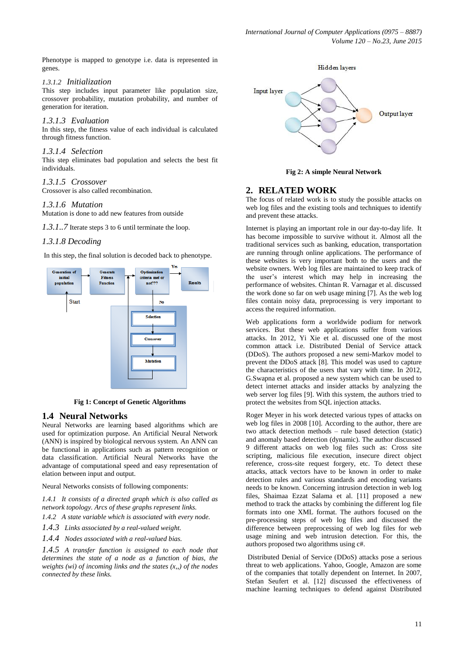Phenotype is mapped to genotype i.e. data is represented in genes.

#### *1.3.1.2 Initialization*

This step includes input parameter like population size, crossover probability, mutation probability, and number of generation for iteration.

#### *1.3.1.3 Evaluation*

In this step, the fitness value of each individual is calculated through fitness function.

#### *1.3.1.4 Selection*

This step eliminates bad population and selects the best fit individuals.

#### *1.3.1.5 Crossover*

Crossover is also called recombination.

#### *1.3.1.6 Mutation*

Mutation is done to add new features from outside

*1.3.1..7* Iterate steps 3 to 6 until terminate the loop.

#### *1.3.1.8 Decoding*

In this step, the final solution is decoded back to phenotype.



**Fig 1: Concept of Genetic Algorithms**

#### **1.4 Neural Networks**

Neural Networks are learning based algorithms which are used for optimization purpose. An Artificial Neural Network (ANN) is inspired by biological nervous system. An ANN can be functional in applications such as pattern recognition or data classification. Artificial Neural Networks have the advantage of computational speed and easy representation of elation between input and output.

Neural Networks consists of following components:

*1.4.1 It consists of a directed graph which is also called as network topology. Arcs of these graphs represent links.*

*1.4.2 A state variable which is associated with every node.*

*1.4.3 Links associated by a real-valued weight.*

*1.4.4 Nodes associated with a real-valued bias.*

*1.4.5 A transfer function is assigned to each node that determines the state of a node as a function of bias, the weights (wi) of incoming links and the states (x,,) of the nodes connected by these links.*



**Fig 2: A simple Neural Network**

#### **2. RELATED WORK**

The focus of related work is to study the possible attacks on web log files and the existing tools and techniques to identify and prevent these attacks.

Internet is playing an important role in our day-to-day life. It has become impossible to survive without it. Almost all the traditional services such as banking, education, transportation are running through online applications. The performance of these websites is very important both to the users and the website owners. Web log files are maintained to keep track of the user's interest which may help in increasing the performance of websites. Chintan R. Varnagar et al. discussed the work done so far on web usage mining [7]. As the web log files contain noisy data, preprocessing is very important to access the required information.

Web applications form a worldwide podium for network services. But these web applications suffer from various attacks. In 2012, Yi Xie et al. discussed one of the most common attack i.e. Distributed Denial of Service attack (DDoS). The authors proposed a new semi-Markov model to prevent the DDoS attack [8]. This model was used to capture the characteristics of the users that vary with time. In 2012, G.Swapna et al. proposed a new system which can be used to detect internet attacks and insider attacks by analyzing the web server log files [9]. With this system, the authors tried to protect the websites from SQL injection attacks.

Roger Meyer in his work detected various types of attacks on web log files in 2008 [10]. According to the author, there are two attack detection methods – rule based detection (static) and anomaly based detection (dynamic). The author discussed 9 different attacks on web log files such as: Cross site scripting, malicious file execution, insecure direct object reference, cross-site request forgery, etc. To detect these attacks, attack vectors have to be known in order to make detection rules and various standards and encoding variants needs to be known. Concerning intrusion detection in web log files, Shaimaa Ezzat Salama et al. [11] proposed a new method to track the attacks by combining the different log file formats into one XML format. The authors focused on the pre-processing steps of web log files and discussed the difference between preprocessing of web log files for web usage mining and web intrusion detection. For this, the authors proposed two algorithms using c#.

Distributed Denial of Service (DDoS) attacks pose a serious threat to web applications. Yahoo, Google, Amazon are some of the companies that totally dependent on Internet. In 2007, Stefan Seufert et al. [12] discussed the effectiveness of machine learning techniques to defend against Distributed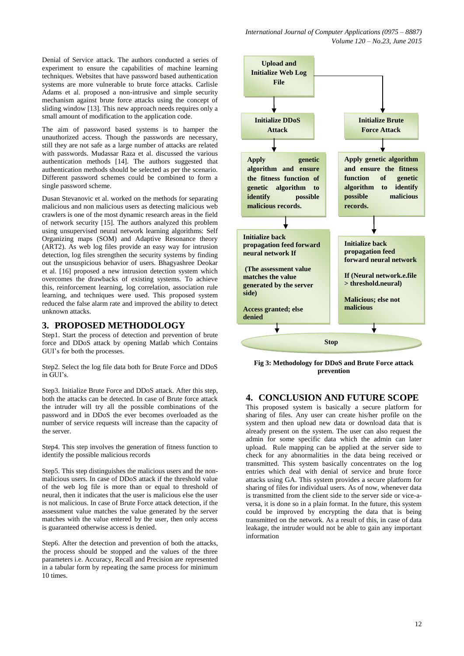Denial of Service attack. The authors conducted a series of experiment to ensure the capabilities of machine learning techniques. Websites that have password based authentication systems are more vulnerable to brute force attacks. Carlisle Adams et al. proposed a non-intrusive and simple security mechanism against brute force attacks using the concept of sliding window [13]. This new approach needs requires only a small amount of modification to the application code.

The aim of password based systems is to hamper the unauthorized access. Though the passwords are necessary, still they are not safe as a large number of attacks are related with passwords. Mudassar Raza et al. discussed the various authentication methods [14]. The authors suggested that authentication methods should be selected as per the scenario. Different password schemes could be combined to form a single password scheme.

Dusan Stevanovic et al. worked on the methods for separating malicious and non malicious users as detecting malicious web crawlers is one of the most dynamic research areas in the field of network security [15]. The authors analyzed this problem using unsupervised neural network learning algorithms: Self Organizing maps (SOM) and Adaptive Resonance theory (ART2). As web log files provide an easy way for intrusion detection, log files strengthen the security systems by finding out the unsuspicious behavior of users. Bhagyashree Deokar et al. [16] proposed a new intrusion detection system which overcomes the drawbacks of existing systems. To achieve this, reinforcement learning, log correlation, association rule learning, and techniques were used. This proposed system reduced the false alarm rate and improved the ability to detect unknown attacks.

#### **3. PROPOSED METHODOLOGY**

Step1. Start the process of detection and prevention of brute force and DDoS attack by opening Matlab which Contains GUI's for both the processes.

Step2. Select the log file data both for Brute Force and DDoS in GUI's.

Step3. Initialize Brute Force and DDoS attack. After this step, both the attacks can be detected. In case of Brute force attack the intruder will try all the possible combinations of the password and in DDoS the ever becomes overloaded as the number of service requests will increase than the capacity of the server.

Step4. This step involves the generation of fitness function to identify the possible malicious records

Step5. This step distinguishes the malicious users and the nonmalicious users. In case of DDoS attack if the threshold value of the web log file is more than or equal to threshold of neural, then it indicates that the user is malicious else the user is not malicious. In case of Brute Force attack detection, if the assessment value matches the value generated by the server matches with the value entered by the user, then only access is guaranteed otherwise access is denied.

Step6. After the detection and prevention of both the attacks, the process should be stopped and the values of the three parameters i.e. Accuracy, Recall and Precision are represented in a tabular form by repeating the same process for minimum 10 times.



**Fig 3: Methodology for DDoS and Brute Force attack prevention**

#### **4. CONCLUSION AND FUTURE SCOPE**

This proposed system is basically a secure platform for sharing of files. Any user can create his/her profile on the system and then upload new data or download data that is already present on the system. The user can also request the admin for some specific data which the admin can later upload. Rule mapping can be applied at the server side to check for any abnormalities in the data being received or transmitted. This system basically concentrates on the log entries which deal with denial of service and brute force attacks using GA. This system provides a secure platform for sharing of files for individual users. As of now, whenever data is transmitted from the client side to the server side or vice-aversa, it is done so in a plain format. In the future, this system could be improved by encrypting the data that is being transmitted on the network. As a result of this, in case of data leakage, the intruder would not be able to gain any important information